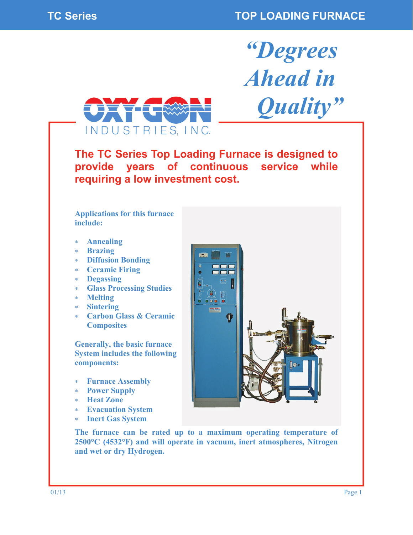*"Degrees* 

*Ahead in* 

 *Quality"* 



**The TC Series Top Loading Furnace is designed to provide years of continuous service while requiring a low investment cost.** 

**Applications for this furnace include:** 

- **Annealing**
- **Brazing**
- **Diffusion Bonding**
- **Ceramic Firing**
- **Degassing**
- **Glass Processing Studies**
- **Melting**
- **Sintering**
- **Carbon Glass & Ceramic Composites**

**Generally, the basic furnace System includes the following components:** 

- **Furnace Assembly**
- **Power Supply**
- **Heat Zone**
- **Evacuation System**
- **Inert Gas System**



**The furnace can be rated up to a maximum operating temperature of 2500°C (4532°F) and will operate in vacuum, inert atmospheres, Nitrogen and wet or dry Hydrogen.**